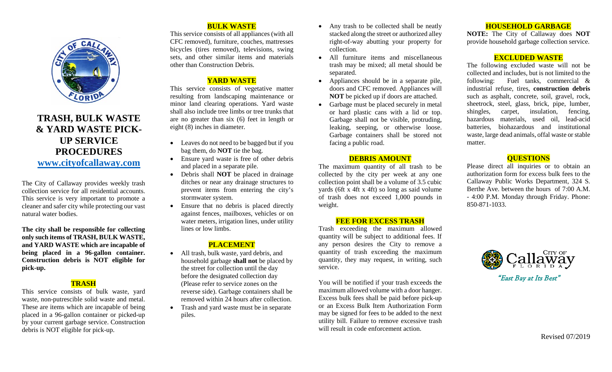

# **TRASH, BULK WASTE & YARD WASTE PICK-UP SERVICE PROCEDURES [www.cityofcallaway.com](http://www.cityofcallaway.com/)**

The City of Callaway provides weekly trash collection service for all residential accounts. This service is very important to promote a cleaner and safer city while protecting our vast natural water bodies.

**The city shall be responsible for collecting only such items of TRASH, BULK WASTE, and YARD WASTE which are incapable of being placed in a 96-gallon container. Construction debris is NOT eligible for pick-up.**

#### **TRASH**

This service consists of bulk waste, yard waste, non-putrescible solid waste and metal. These are items which are incapable of being placed in a 96-gallon container or picked-up by your current garbage service. Construction debris is NOT eligible for pick-up.

# **BULK WASTE**

This service consists of all appliances (with all CFC removed), furniture, couches, mattresses bicycles (tires removed), televisions, swing sets, and other similar items and materials other than Construction Debris.

## **YARD WASTE**

This service consists of vegetative matter resulting from landscaping maintenance or minor land clearing operations. Yard waste shall also include tree limbs or tree trunks that are no greater than six (6) feet in length or eight (8) inches in diameter.

- Leaves do not need to be bagged but if you bag them, do **NOT** tie the bag.
- Ensure yard waste is free of other debris and placed in a separate pile.
- Debris shall **NOT** be placed in drainage ditches or near any drainage structures to prevent items from entering the city's stormwater system.
- Ensure that no debris is placed directly against fences, mailboxes, vehicles or on water meters, irrigation lines, under utility lines or low limbs.

## **PLACEMENT**

- All trash, bulk waste, yard debris, and household garbage **shall not** be placed by the street for collection until the day before the designated collection day (Please refer to service zones on the reverse side). Garbage containers shall be removed within 24 hours after collection.
- Trash and yard waste must be in separate piles.
- Any trash to be collected shall be neatly stacked along the street or authorized alley right-of-way abutting your property for collection.
- All furniture items and miscellaneous trash may be mixed; all metal should be separated.
- Appliances should be in a separate pile, doors and CFC removed. Appliances will **NOT** be picked up if doors are attached.
- Garbage must be placed securely in metal or hard plastic cans with a lid or top. Garbage shall not be visible, protruding, leaking, seeping, or otherwise loose. Garbage containers shall be stored not facing a public road.

#### **DEBRIS AMOUNT**

The maximum quantity of all trash to be collected by the city per week at any one collection point shall be a volume of 3.5 cubic yards (6ft x 4ft x 4ft) so long as said volume of trash does not exceed 1,000 pounds in weight.

#### **FEE FOR EXCESS TRASH**

Trash exceeding the maximum allowed quantity will be subject to additional fees. If any person desires the City to remove a quantity of trash exceeding the maximum quantity, they may request, in writing, such service.

You will be notified if your trash exceeds the maximum allowed volume with a door hanger. Excess bulk fees shall be paid before pick-up or an Excess Bulk Item Authorization Form may be signed for fees to be added to the next utility bill. Failure to remove excessive trash will result in code enforcement action.

#### **HOUSEHOLD GARBAGE**

**NOTE:** The City of Callaway does **NOT** provide household garbage collection service.

### **EXCLUDED WASTE**

The following excluded waste will not be collected and includes, but is not limited to the following: Fuel tanks, commercial & industrial refuse, tires, **construction debris** such as asphalt, concrete, soil, gravel, rock, sheetrock, steel, glass, brick, pipe, lumber, shingles, carpet, insulation, fencing, hazardous materials, used oil, lead-acid batteries, biohazardous and institutional waste, large dead animals, offal waste or stable matter.

## **QUESTIONS**

Please direct all inquiries or to obtain an authorization form for excess bulk fees to the Callaway Public Works Department, 324 S. Berthe Ave. between the hours of 7:00 A.M. - 4:00 P.M. Monday through Friday. Phone: 850-871-1033.



"East Bay at Its Best"